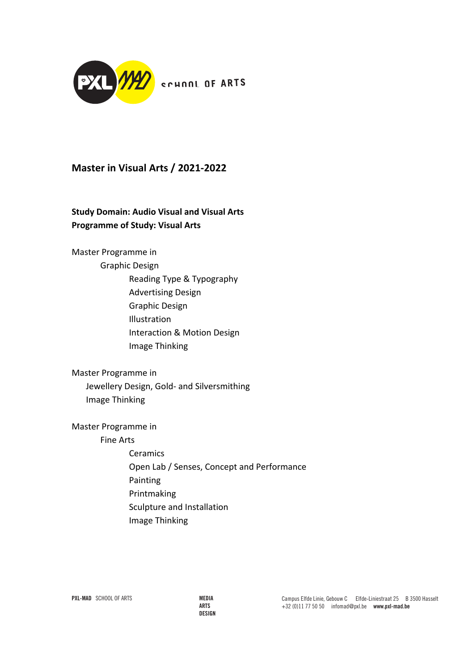

# **Master in Visual Arts / 2021-2022**

# **Study Domain: Audio Visual and Visual Arts Programme of Study: Visual Arts**

Master Programme in Graphic Design Reading Type & Typography Advertising Design Graphic Design Illustration Interaction & Motion Design Image Thinking

Master Programme in Jewellery Design, Gold- and Silversmithing Image Thinking

Master Programme in

Fine Arts

**Ceramics** Open Lab / Senses, Concept and Performance Painting Printmaking Sculpture and Installation Image Thinking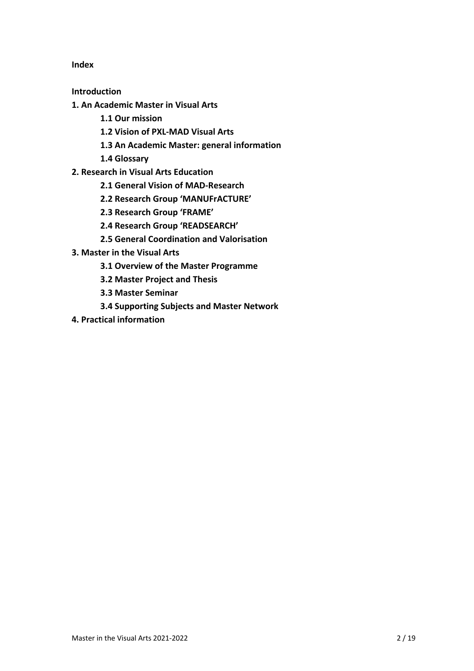**Index**

**Introduction**

- **1. An Academic Master in Visual Arts**
	- **1.1 Our mission**
	- **1.2 Vision of PXL-MAD Visual Arts**
	- **1.3 An Academic Master: general information**
	- **1.4 Glossary**
- **2. Research in Visual Arts Education**
	- **2.1 General Vision of MAD-Research**
	- **2.2 Research Group 'MANUFrACTURE'**
	- **2.3 Research Group 'FRAME'**
	- **2.4 Research Group 'READSEARCH'**
	- **2.5 General Coordination and Valorisation**
- **3. Master in the Visual Arts**
	- **3.1 Overview of the Master Programme**
	- **3.2 Master Project and Thesis**
	- **3.3 Master Seminar**
	- **3.4 Supporting Subjects and Master Network**
- **4. Practical information**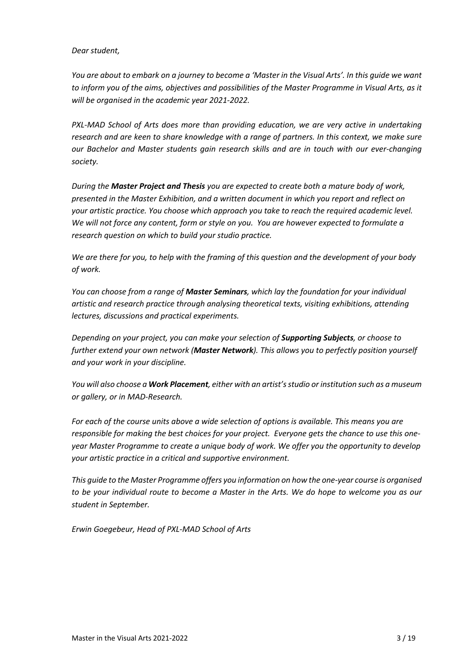#### *Dear student,*

*You are about to embark on a journey to become a 'Master in the Visual Arts'. In this guide we want to inform you of the aims, objectives and possibilities of the Master Programme in Visual Arts, as it will be organised in the academic year 2021-2022.*

*PXL-MAD School of Arts does more than providing education, we are very active in undertaking research and are keen to share knowledge with a range of partners. In this context, we make sure our Bachelor and Master students gain research skills and are in touch with our ever-changing society.*

*During the Master Project and Thesis you are expected to create both a mature body of work, presented in the Master Exhibition, and a written document in which you report and reflect on your artistic practice. You choose which approach you take to reach the required academic level. We will not force any content, form or style on you. You are however expected to formulate a research question on which to build your studio practice.*

*We are there for you, to help with the framing of this question and the development of your body of work.*

*You can choose from a range of Master Seminars, which lay the foundation for your individual artistic and research practice through analysing theoretical texts, visiting exhibitions, attending lectures, discussions and practical experiments.*

*Depending on your project, you can make your selection of Supporting Subjects, or choose to further extend your own network (Master Network). This allows you to perfectly position yourself and your work in your discipline.*

*You will also choose a Work Placement, either with an artist's studio or institution such as a museum or gallery, or in MAD-Research.*

*For each of the course units above a wide selection of options is available. This means you are responsible for making the best choices for your project. Everyone gets the chance to use this oneyear Master Programme to create a unique body of work. We offer you the opportunity to develop your artistic practice in a critical and supportive environment.*

*This guide to the Master Programme offers you information on how the one-year course is organised to be your individual route to become a Master in the Arts. We do hope to welcome you as our student in September.*

*Erwin Goegebeur, Head of PXL-MAD School of Arts*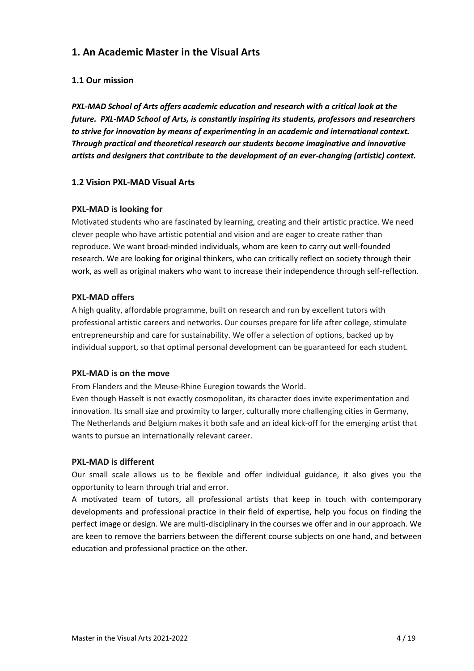# **1. An Academic Master in the Visual Arts**

## **1.1 Our mission**

*PXL-MAD School of Arts offers academic education and research with a critical look at the future. PXL-MAD School of Arts, is constantly inspiring its students, professors and researchers to strive for innovation by means of experimenting in an academic and international context. Through practical and theoretical research our students become imaginative and innovative artists and designers that contribute to the development of an ever-changing (artistic) context.*

### **1.2 Vision PXL-MAD Visual Arts**

### **PXL-MAD is looking for**

Motivated students who are fascinated by learning, creating and their artistic practice. We need clever people who have artistic potential and vision and are eager to create rather than reproduce. We want broad-minded individuals, whom are keen to carry out well-founded research. We are looking for original thinkers, who can critically reflect on society through their work, as well as original makers who want to increase their independence through self-reflection.

### **PXL-MAD offers**

A high quality, affordable programme, built on research and run by excellent tutors with professional artistic careers and networks. Our courses prepare for life after college, stimulate entrepreneurship and care for sustainability. We offer a selection of options, backed up by individual support, so that optimal personal development can be guaranteed for each student.

### **PXL-MAD is on the move**

From Flanders and the Meuse-Rhine Euregion towards the World.

Even though Hasselt is not exactly cosmopolitan, its character does invite experimentation and innovation. Its small size and proximity to larger, culturally more challenging cities in Germany, The Netherlands and Belgium makes it both safe and an ideal kick-off for the emerging artist that wants to pursue an internationally relevant career.

### **PXL-MAD is different**

Our small scale allows us to be flexible and offer individual guidance, it also gives you the opportunity to learn through trial and error.

A motivated team of tutors, all professional artists that keep in touch with contemporary developments and professional practice in their field of expertise, help you focus on finding the perfect image or design. We are multi-disciplinary in the courses we offer and in our approach. We are keen to remove the barriers between the different course subjects on one hand, and between education and professional practice on the other.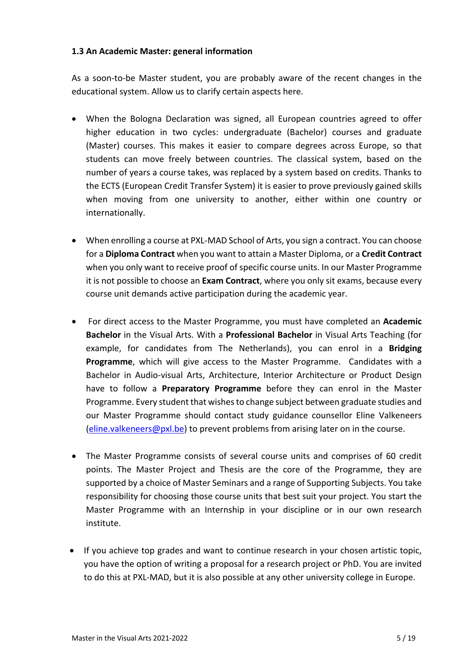### **1.3 An Academic Master: general information**

As a soon-to-be Master student, you are probably aware of the recent changes in the educational system. Allow us to clarify certain aspects here.

- When the Bologna Declaration was signed, all European countries agreed to offer higher education in two cycles: undergraduate (Bachelor) courses and graduate (Master) courses. This makes it easier to compare degrees across Europe, so that students can move freely between countries. The classical system, based on the number of years a course takes, was replaced by a system based on credits. Thanks to the ECTS (European Credit Transfer System) it is easier to prove previously gained skills when moving from one university to another, either within one country or internationally.
- When enrolling a course at PXL-MAD School of Arts, you sign a contract. You can choose for a **Diploma Contract** when you want to attain a Master Diploma, or a **Credit Contract** when you only want to receive proof of specific course units. In our Master Programme it is not possible to choose an **Exam Contract**, where you only sit exams, because every course unit demands active participation during the academic year.
- For direct access to the Master Programme, you must have completed an **Academic Bachelor** in the Visual Arts. With a **Professional Bachelor** in Visual Arts Teaching (for example, for candidates from The Netherlands), you can enrol in a **Bridging Programme**, which will give access to the Master Programme. Candidates with a Bachelor in Audio-visual Arts, Architecture, Interior Architecture or Product Design have to follow a **Preparatory Programme** before they can enrol in the Master Programme. Every student that wishes to change subject between graduate studies and our Master Programme should contact study guidance counsellor Eline Valkeneers (eline.valkeneers@pxl.be) to prevent problems from arising later on in the course.
- The Master Programme consists of several course units and comprises of 60 credit points. The Master Project and Thesis are the core of the Programme, they are supported by a choice of Master Seminars and a range of Supporting Subjects. You take responsibility for choosing those course units that best suit your project. You start the Master Programme with an Internship in your discipline or in our own research institute.
- If you achieve top grades and want to continue research in your chosen artistic topic, you have the option of writing a proposal for a research project or PhD. You are invited to do this at PXL-MAD, but it is also possible at any other university college in Europe.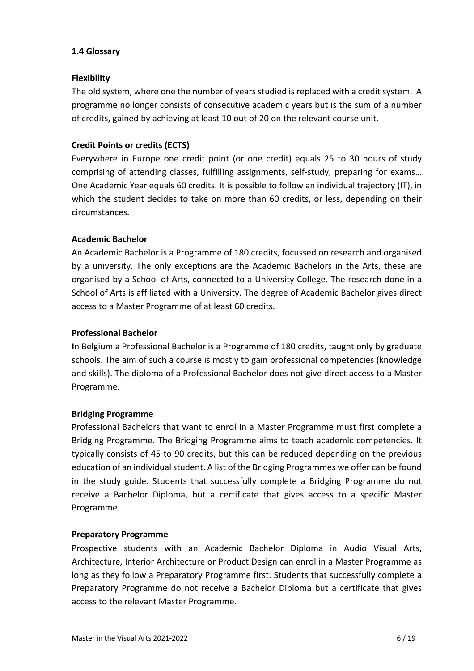### **1.4 Glossary**

### **Flexibility**

The old system, where one the number of years studied is replaced with a credit system. A programme no longer consists of consecutive academic years but is the sum of a number of credits, gained by achieving at least 10 out of 20 on the relevant course unit.

## **Credit Points or credits (ECTS)**

Everywhere in Europe one credit point (or one credit) equals 25 to 30 hours of study comprising of attending classes, fulfilling assignments, self-study, preparing for exams… One Academic Year equals 60 credits. It is possible to follow an individual trajectory (IT), in which the student decides to take on more than 60 credits, or less, depending on their circumstances.

### **Academic Bachelor**

An Academic Bachelor is a Programme of 180 credits, focussed on research and organised by a university. The only exceptions are the Academic Bachelors in the Arts, these are organised by a School of Arts, connected to a University College. The research done in a School of Arts is affiliated with a University. The degree of Academic Bachelor gives direct access to a Master Programme of at least 60 credits.

## **Professional Bachelor**

**I**n Belgium a Professional Bachelor is a Programme of 180 credits, taught only by graduate schools. The aim of such a course is mostly to gain professional competencies (knowledge and skills). The diploma of a Professional Bachelor does not give direct access to a Master Programme.

### **Bridging Programme**

Professional Bachelors that want to enrol in a Master Programme must first complete a Bridging Programme. The Bridging Programme aims to teach academic competencies. It typically consists of 45 to 90 credits, but this can be reduced depending on the previous education of an individual student. A list of the Bridging Programmes we offer can be found in the study guide. Students that successfully complete a Bridging Programme do not receive a Bachelor Diploma, but a certificate that gives access to a specific Master Programme.

### **Preparatory Programme**

Prospective students with an Academic Bachelor Diploma in Audio Visual Arts, Architecture, Interior Architecture or Product Design can enrol in a Master Programme as long as they follow a Preparatory Programme first. Students that successfully complete a Preparatory Programme do not receive a Bachelor Diploma but a certificate that gives access to the relevant Master Programme.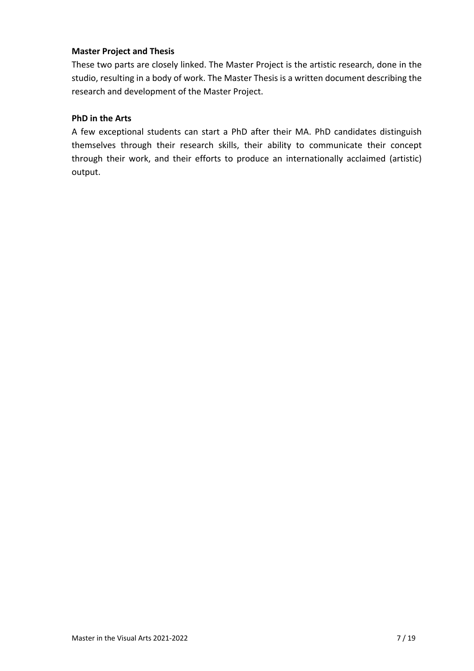## **Master Project and Thesis**

These two parts are closely linked. The Master Project is the artistic research, done in the studio, resulting in a body of work. The Master Thesis is a written document describing the research and development of the Master Project.

### **PhD in the Arts**

A few exceptional students can start a PhD after their MA. PhD candidates distinguish themselves through their research skills, their ability to communicate their concept through their work, and their efforts to produce an internationally acclaimed (artistic) output.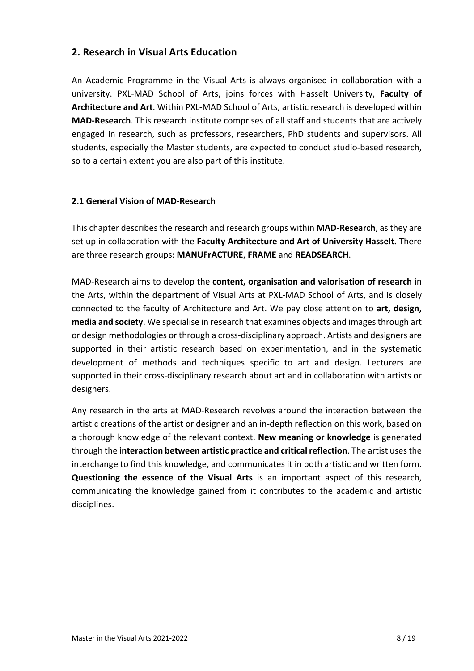# **2. Research in Visual Arts Education**

An Academic Programme in the Visual Arts is always organised in collaboration with a university. PXL-MAD School of Arts, joins forces with Hasselt University, **Faculty of Architecture and Art**. Within PXL-MAD School of Arts, artistic research is developed within **MAD-Research**. This research institute comprises of all staff and students that are actively engaged in research, such as professors, researchers, PhD students and supervisors. All students, especially the Master students, are expected to conduct studio-based research, so to a certain extent you are also part of this institute.

## **2.1 General Vision of MAD-Research**

This chapter describes the research and research groups within **MAD-Research**, as they are set up in collaboration with the **Faculty Architecture and Art of University Hasselt.** There are three research groups: **MANUFrACTURE**, **FRAME** and **READSEARCH**.

MAD-Research aims to develop the **content, organisation and valorisation of research** in the Arts, within the department of Visual Arts at PXL-MAD School of Arts, and is closely connected to the faculty of Architecture and Art. We pay close attention to **art, design, media and society**. We specialise in research that examines objects and images through art or design methodologies or through a cross-disciplinary approach. Artists and designers are supported in their artistic research based on experimentation, and in the systematic development of methods and techniques specific to art and design. Lecturers are supported in their cross-disciplinary research about art and in collaboration with artists or designers.

Any research in the arts at MAD-Research revolves around the interaction between the artistic creations of the artist or designer and an in-depth reflection on this work, based on a thorough knowledge of the relevant context. **New meaning or knowledge** is generated through the **interaction between artistic practice and critical reflection**. The artist uses the interchange to find this knowledge, and communicates it in both artistic and written form. **Questioning the essence of the Visual Arts** is an important aspect of this research, communicating the knowledge gained from it contributes to the academic and artistic disciplines.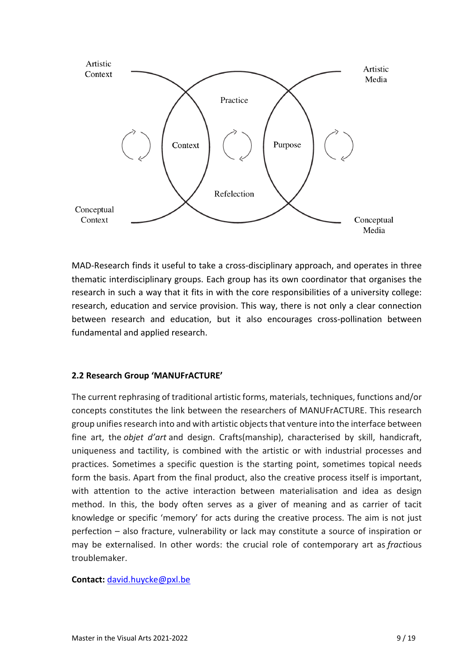

MAD-Research finds it useful to take a cross-disciplinary approach, and operates in three thematic interdisciplinary groups. Each group has its own coordinator that organises the research in such a way that it fits in with the core responsibilities of a university college: research, education and service provision. This way, there is not only a clear connection between research and education, but it also encourages cross-pollination between fundamental and applied research.

## **2.2 Research Group 'MANUFrACTURE'**

The current rephrasing of traditional artistic forms, materials, techniques, functions and/or concepts constitutes the link between the researchers of MANUFrACTURE. This research group unifies research into and with artistic objects that venture into the interface between fine art, the *objet d'art* and design. Crafts(manship), characterised by skill, handicraft, uniqueness and tactility, is combined with the artistic or with industrial processes and practices. Sometimes a specific question is the starting point, sometimes topical needs form the basis. Apart from the final product, also the creative process itself is important, with attention to the active interaction between materialisation and idea as design method. In this, the body often serves as a giver of meaning and as carrier of tacit knowledge or specific 'memory' for acts during the creative process. The aim is not just perfection – also fracture, vulnerability or lack may constitute a source of inspiration or may be externalised. In other words: the crucial role of contemporary art as *fract*ious troublemaker.

### **Contact:** david.huycke@pxl.be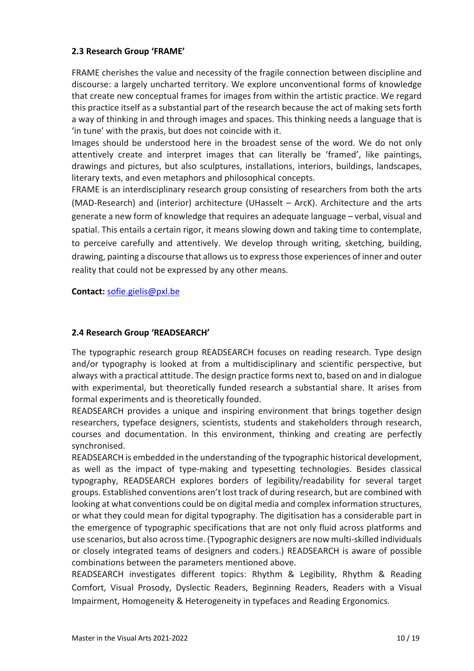## **2.3 Research Group 'FRAME'**

FRAME cherishes the value and necessity of the fragile connection between discipline and discourse: a largely uncharted territory. We explore unconventional forms of knowledge that create new conceptual frames for images from within the artistic practice. We regard this practice itself as a substantial part of the research because the act of making sets forth a way of thinking in and through images and spaces. This thinking needs a language that is 'in tune' with the praxis, but does not coincide with it.

Images should be understood here in the broadest sense of the word. We do not only attentively create and interpret images that can literally be 'framed', like paintings, drawings and pictures, but also sculptures, installations, interiors, buildings, landscapes, literary texts, and even metaphors and philosophical concepts.

FRAME is an interdisciplinary research group consisting of researchers from both the arts (MAD-Research) and (interior) architecture (UHasselt – ArcK). Architecture and the arts generate a new form of knowledge that requires an adequate language – verbal, visual and spatial. This entails a certain rigor, it means slowing down and taking time to contemplate, to perceive carefully and attentively. We develop through writing, sketching, building, drawing, painting a discourse that allows us to expressthose experiences of inner and outer reality that could not be expressed by any other means.

**Contact:** sofie.gielis@pxl.be

### **2.4 Research Group 'READSEARCH'**

The typographic research group READSEARCH focuses on reading research. Type design and/or typography is looked at from a multidisciplinary and scientific perspective, but always with a practical attitude. The design practice forms next to, based on and in dialogue with experimental, but theoretically funded research a substantial share. It arises from formal experiments and is theoretically founded.

READSEARCH provides a unique and inspiring environment that brings together design researchers, typeface designers, scientists, students and stakeholders through research, courses and documentation. In this environment, thinking and creating are perfectly synchronised.

READSEARCH is embedded in the understanding of the typographic historical development, as well as the impact of type-making and typesetting technologies. Besides classical typography, READSEARCH explores borders of legibility/readability for several target groups. Established conventions aren't lost track of during research, but are combined with looking at what conventions could be on digital media and complex information structures, or what they could mean for digital typography. The digitisation has a considerable part in the emergence of typographic specifications that are not only fluid across platforms and use scenarios, but also across time. (Typographic designers are now multi-skilled individuals or closely integrated teams of designers and coders.) READSEARCH is aware of possible combinations between the parameters mentioned above.

READSEARCH investigates different topics: Rhythm & Legibility, Rhythm & Reading Comfort, Visual Prosody, Dyslectic Readers, Beginning Readers, Readers with a Visual Impairment, Homogeneity & Heterogeneity in typefaces and Reading Ergonomics.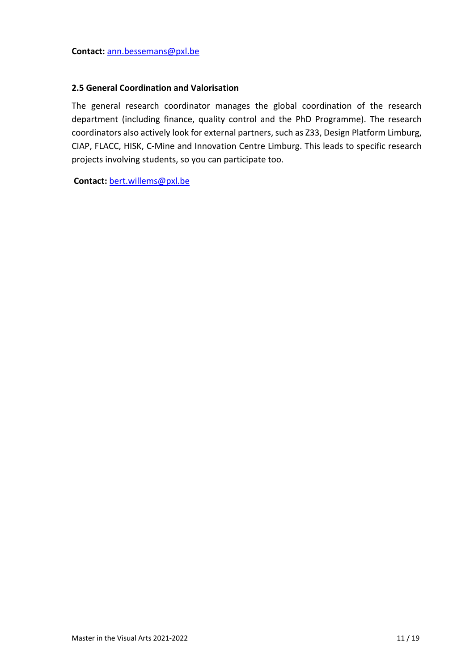### **2.5 General Coordination and Valorisation**

The general research coordinator manages the global coordination of the research department (including finance, quality control and the PhD Programme). The research coordinators also actively look for external partners, such as Z33, Design Platform Limburg, CIAP, FLACC, HISK, C-Mine and Innovation Centre Limburg. This leads to specific research projects involving students, so you can participate too.

**Contact:** bert.willems@pxl.be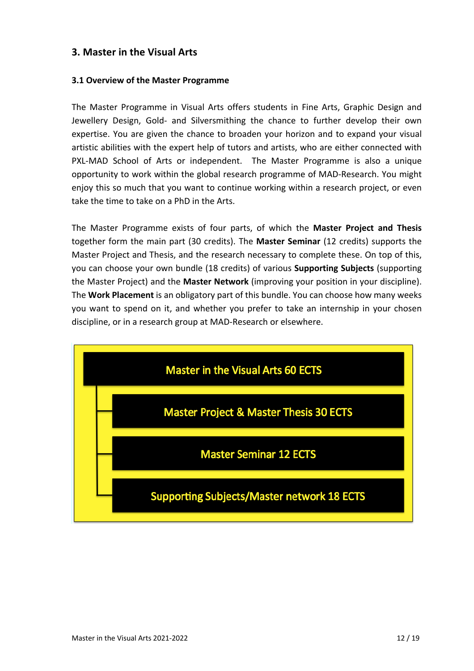# **3. Master in the Visual Arts**

### **3.1 Overview of the Master Programme**

The Master Programme in Visual Arts offers students in Fine Arts, Graphic Design and Jewellery Design, Gold- and Silversmithing the chance to further develop their own expertise. You are given the chance to broaden your horizon and to expand your visual artistic abilities with the expert help of tutors and artists, who are either connected with PXL-MAD School of Arts or independent. The Master Programme is also a unique opportunity to work within the global research programme of MAD-Research. You might enjoy this so much that you want to continue working within a research project, or even take the time to take on a PhD in the Arts.

The Master Programme exists of four parts, of which the **Master Project and Thesis** together form the main part (30 credits). The **Master Seminar** (12 credits) supports the Master Project and Thesis, and the research necessary to complete these. On top of this, you can choose your own bundle (18 credits) of various **Supporting Subjects** (supporting the Master Project) and the **Master Network** (improving your position in your discipline). The **Work Placement** is an obligatory part of this bundle. You can choose how many weeks you want to spend on it, and whether you prefer to take an internship in your chosen discipline, or in a research group at MAD-Research or elsewhere.

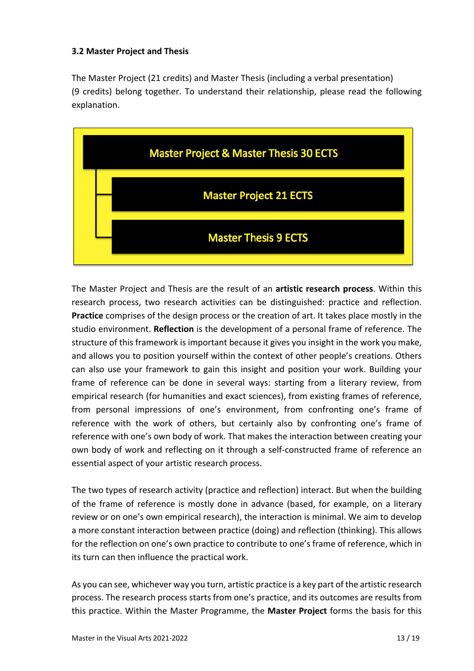### **3.2 Master Project and Thesis**

The Master Project (21 credits) and Master Thesis (including a verbal presentation) (9 credits) belong together. To understand their relationship, please read the following explanation.



The Master Project and Thesis are the result of an **artistic research process**. Within this research process, two research activities can be distinguished: practice and reflection. **Practice** comprises of the design process or the creation of art. It takes place mostly in the studio environment. **Reflection** is the development of a personal frame of reference. The structure of this framework is important because it gives you insight in the work you make, and allows you to position yourself within the context of other people's creations. Others can also use your framework to gain this insight and position your work. Building your frame of reference can be done in several ways: starting from a literary review, from empirical research (for humanities and exact sciences), from existing frames of reference, from personal impressions of one's environment, from confronting one's frame of reference with the work of others, but certainly also by confronting one's frame of reference with one's own body of work. That makes the interaction between creating your own body of work and reflecting on it through a self-constructed frame of reference an essential aspect of your artistic research process.

The two types of research activity (practice and reflection) interact. But when the building of the frame of reference is mostly done in advance (based, for example, on a literary review or on one's own empirical research), the interaction is minimal. We aim to develop a more constant interaction between practice (doing) and reflection (thinking). This allows for the reflection on one's own practice to contribute to one's frame of reference, which in its turn can then influence the practical work.

As you can see, whichever way you turn, artistic practice is a key part of the artistic research process. The research process starts from one's practice, and its outcomes are results from this practice. Within the Master Programme, the **Master Project** forms the basis for this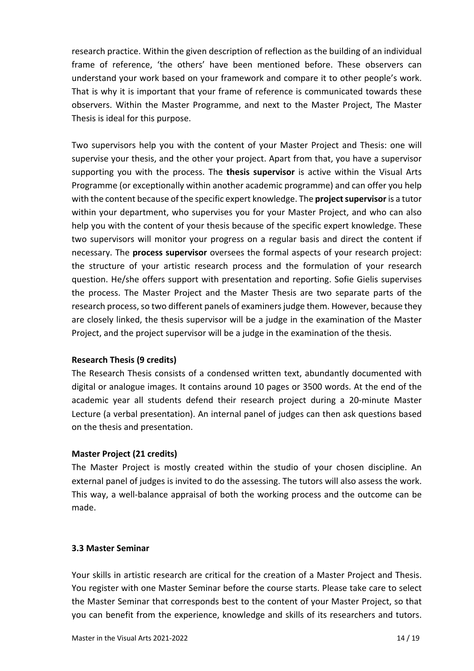research practice. Within the given description of reflection as the building of an individual frame of reference, 'the others' have been mentioned before. These observers can understand your work based on your framework and compare it to other people's work. That is why it is important that your frame of reference is communicated towards these observers. Within the Master Programme, and next to the Master Project, The Master Thesis is ideal for this purpose.

Two supervisors help you with the content of your Master Project and Thesis: one will supervise your thesis, and the other your project. Apart from that, you have a supervisor supporting you with the process. The **thesis supervisor** is active within the Visual Arts Programme (or exceptionally within another academic programme) and can offer you help with the content because of the specific expert knowledge. The **project supervisor**is a tutor within your department, who supervises you for your Master Project, and who can also help you with the content of your thesis because of the specific expert knowledge. These two supervisors will monitor your progress on a regular basis and direct the content if necessary. The **process supervisor** oversees the formal aspects of your research project: the structure of your artistic research process and the formulation of your research question. He/she offers support with presentation and reporting. Sofie Gielis supervises the process. The Master Project and the Master Thesis are two separate parts of the research process, so two different panels of examiners judge them. However, because they are closely linked, the thesis supervisor will be a judge in the examination of the Master Project, and the project supervisor will be a judge in the examination of the thesis.

### **Research Thesis (9 credits)**

The Research Thesis consists of a condensed written text, abundantly documented with digital or analogue images. It contains around 10 pages or 3500 words. At the end of the academic year all students defend their research project during a 20-minute Master Lecture (a verbal presentation). An internal panel of judges can then ask questions based on the thesis and presentation.

### **Master Project (21 credits)**

The Master Project is mostly created within the studio of your chosen discipline. An external panel of judges is invited to do the assessing. The tutors will also assess the work. This way, a well-balance appraisal of both the working process and the outcome can be made.

### **3.3 Master Seminar**

Your skills in artistic research are critical for the creation of a Master Project and Thesis. You register with one Master Seminar before the course starts. Please take care to select the Master Seminar that corresponds best to the content of your Master Project, so that you can benefit from the experience, knowledge and skills of its researchers and tutors.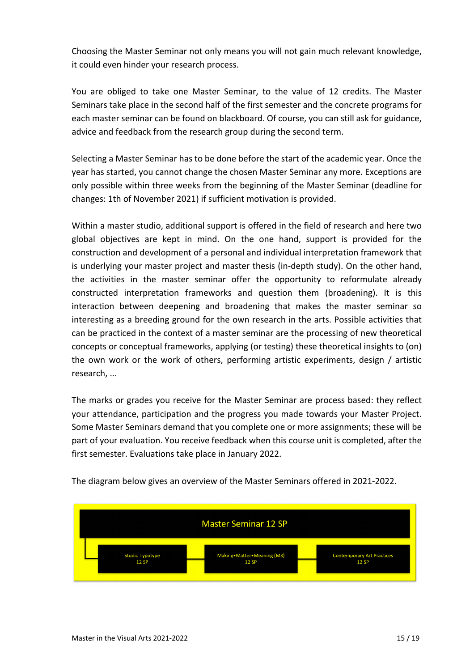Choosing the Master Seminar not only means you will not gain much relevant knowledge, it could even hinder your research process.

You are obliged to take one Master Seminar, to the value of 12 credits. The Master Seminars take place in the second half of the first semester and the concrete programs for each master seminar can be found on blackboard. Of course, you can still ask for guidance, advice and feedback from the research group during the second term.

Selecting a Master Seminar has to be done before the start of the academic year. Once the year has started, you cannot change the chosen Master Seminar any more. Exceptions are only possible within three weeks from the beginning of the Master Seminar (deadline for changes: 1th of November 2021) if sufficient motivation is provided.

Within a master studio, additional support is offered in the field of research and here two global objectives are kept in mind. On the one hand, support is provided for the construction and development of a personal and individual interpretation framework that is underlying your master project and master thesis (in-depth study). On the other hand, the activities in the master seminar offer the opportunity to reformulate already constructed interpretation frameworks and question them (broadening). It is this interaction between deepening and broadening that makes the master seminar so interesting as a breeding ground for the own research in the arts. Possible activities that can be practiced in the context of a master seminar are the processing of new theoretical concepts or conceptual frameworks, applying (or testing) these theoretical insights to (on) the own work or the work of others, performing artistic experiments, design / artistic research, ...

The marks or grades you receive for the Master Seminar are process based: they reflect your attendance, participation and the progress you made towards your Master Project. Some Master Seminars demand that you complete one or more assignments; these will be part of your evaluation. You receive feedback when this course unit is completed, after the first semester. Evaluations take place in January 2022.



The diagram below gives an overview of the Master Seminars offered in 2021-2022.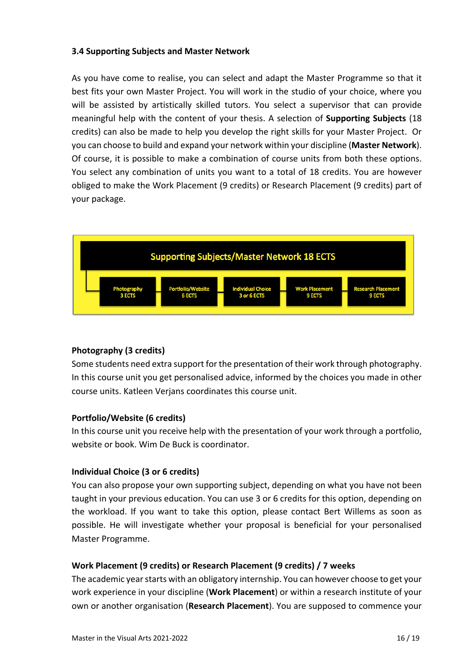### **3.4 Supporting Subjects and Master Network**

As you have come to realise, you can select and adapt the Master Programme so that it best fits your own Master Project. You will work in the studio of your choice, where you will be assisted by artistically skilled tutors. You select a supervisor that can provide meaningful help with the content of your thesis. A selection of **Supporting Subjects** (18 credits) can also be made to help you develop the right skills for your Master Project. Or you can choose to build and expand your network within your discipline (**Master Network**). Of course, it is possible to make a combination of course units from both these options. You select any combination of units you want to a total of 18 credits. You are however obliged to make the Work Placement (9 credits) or Research Placement (9 credits) part of your package.



### **Photography (3 credits)**

Some students need extra support for the presentation of their work through photography. In this course unit you get personalised advice, informed by the choices you made in other course units. Katleen Verjans coordinates this course unit.

### **Portfolio/Website (6 credits)**

In this course unit you receive help with the presentation of your work through a portfolio, website or book. Wim De Buck is coordinator.

### **Individual Choice (3 or 6 credits)**

You can also propose your own supporting subject, depending on what you have not been taught in your previous education. You can use 3 or 6 credits for this option, depending on the workload. If you want to take this option, please contact Bert Willems as soon as possible. He will investigate whether your proposal is beneficial for your personalised Master Programme.

## **Work Placement (9 credits) or Research Placement (9 credits) / 7 weeks**

The academic year starts with an obligatory internship. You can however choose to get your work experience in your discipline (**Work Placement**) or within a research institute of your own or another organisation (**Research Placement**). You are supposed to commence your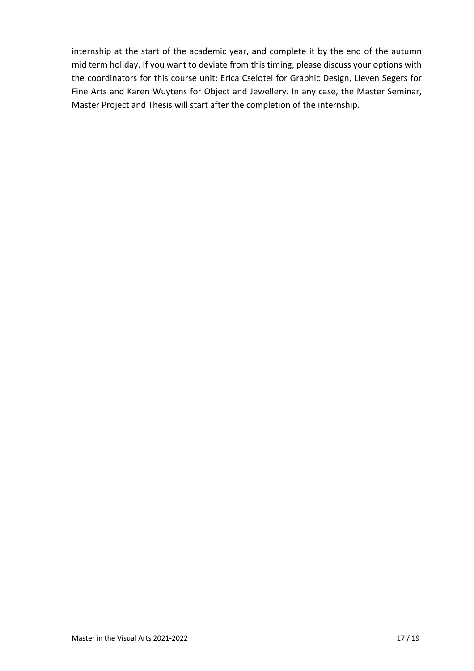internship at the start of the academic year, and complete it by the end of the autumn mid term holiday. If you want to deviate from this timing, please discuss your options with the coordinators for this course unit: Erica Cselotei for Graphic Design, Lieven Segers for Fine Arts and Karen Wuytens for Object and Jewellery. In any case, the Master Seminar, Master Project and Thesis will start after the completion of the internship.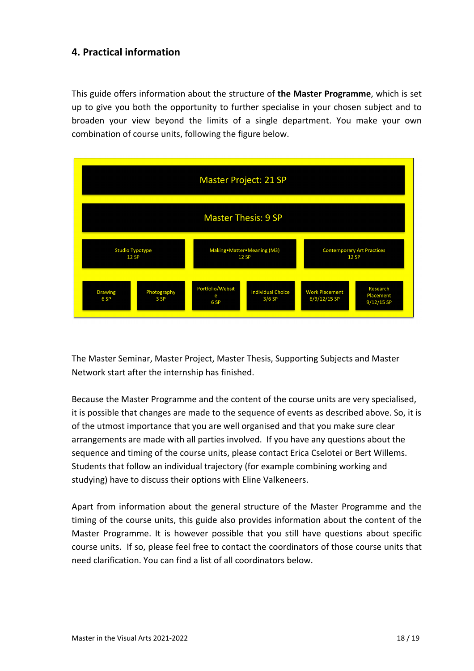# **4. Practical information**

This guide offers information about the structure of **the Master Programme**, which is set up to give you both the opportunity to further specialise in your chosen subject and to broaden your view beyond the limits of a single department. You make your own combination of course units, following the figure below.



The Master Seminar, Master Project, Master Thesis, Supporting Subjects and Master Network start after the internship has finished.

Because the Master Programme and the content of the course units are very specialised, it is possible that changes are made to the sequence of events as described above. So, it is of the utmost importance that you are well organised and that you make sure clear arrangements are made with all parties involved. If you have any questions about the sequence and timing of the course units, please contact Erica Cselotei or Bert Willems. Students that follow an individual trajectory (for example combining working and studying) have to discuss their options with Eline Valkeneers.

Apart from information about the general structure of the Master Programme and the timing of the course units, this guide also provides information about the content of the Master Programme. It is however possible that you still have questions about specific course units. If so, please feel free to contact the coordinators of those course units that need clarification. You can find a list of all coordinators below.